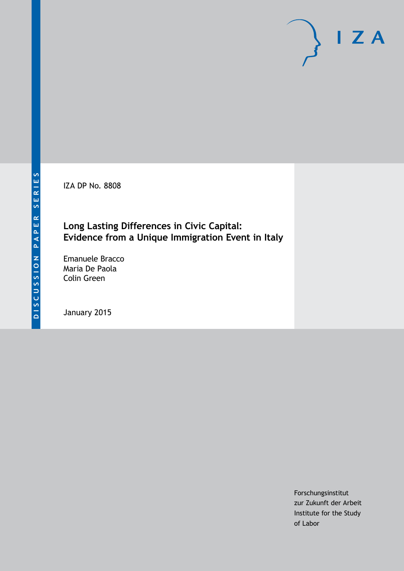IZA DP No. 8808

# **Long Lasting Differences in Civic Capital: Evidence from a Unique Immigration Event in Italy**

Emanuele Bracco Maria De Paola Colin Green

January 2015

Forschungsinstitut zur Zukunft der Arbeit Institute for the Study of Labor

 $I Z A$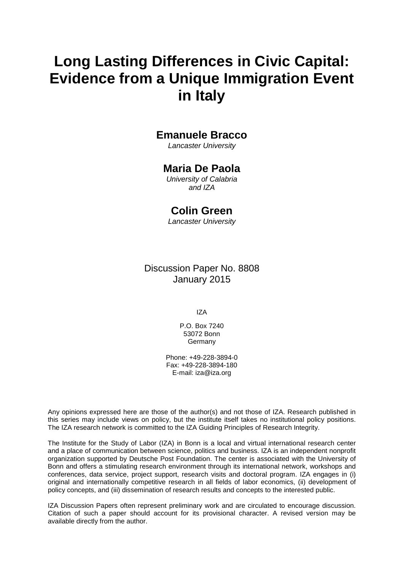# **Long Lasting Differences in Civic Capital: Evidence from a Unique Immigration Event in Italy**

## **Emanuele Bracco**

*Lancaster University*

### **Maria De Paola**

*University of Calabria and IZA*

### **Colin Green**

*Lancaster University*

Discussion Paper No. 8808 January 2015

IZA

P.O. Box 7240 53072 Bonn Germany

Phone: +49-228-3894-0 Fax: +49-228-3894-180 E-mail: [iza@iza.org](mailto:iza@iza.org)

Any opinions expressed here are those of the author(s) and not those of IZA. Research published in this series may include views on policy, but the institute itself takes no institutional policy positions. The IZA research network is committed to the IZA Guiding Principles of Research Integrity.

The Institute for the Study of Labor (IZA) in Bonn is a local and virtual international research center and a place of communication between science, politics and business. IZA is an independent nonprofit organization supported by Deutsche Post Foundation. The center is associated with the University of Bonn and offers a stimulating research environment through its international network, workshops and conferences, data service, project support, research visits and doctoral program. IZA engages in (i) original and internationally competitive research in all fields of labor economics, (ii) development of policy concepts, and (iii) dissemination of research results and concepts to the interested public.

<span id="page-1-0"></span>IZA Discussion Papers often represent preliminary work and are circulated to encourage discussion. Citation of such a paper should account for its provisional character. A revised version may be available directly from the author.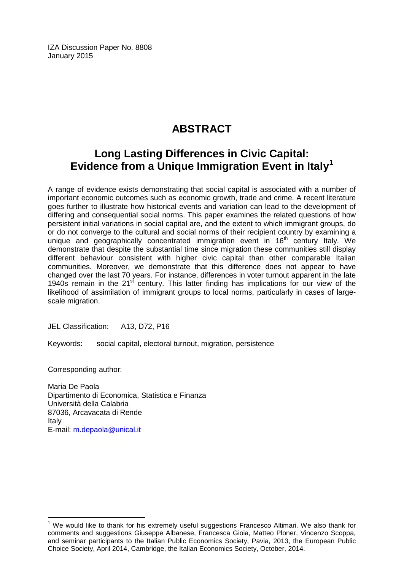IZA Discussion Paper No. 8808 January 2015

# **ABSTRACT**

# **Long Lasting Differences in Civic Capital: Evidence from a Unique Immigration Event in Italy[1](#page-1-0)**

A range of evidence exists demonstrating that social capital is associated with a number of important economic outcomes such as economic growth, trade and crime. A recent literature goes further to illustrate how historical events and variation can lead to the development of differing and consequential social norms. This paper examines the related questions of how persistent initial variations in social capital are, and the extent to which immigrant groups, do or do not converge to the cultural and social norms of their recipient country by examining a unique and geographically concentrated immigration event in  $16<sup>th</sup>$  century Italy. We demonstrate that despite the substantial time since migration these communities still display different behaviour consistent with higher civic capital than other comparable Italian communities. Moreover, we demonstrate that this difference does not appear to have changed over the last 70 years. For instance, differences in voter turnout apparent in the late 1940s remain in the  $21<sup>st</sup>$  century. This latter finding has implications for our view of the likelihood of assimilation of immigrant groups to local norms, particularly in cases of largescale migration.

JEL Classification: A13, D72, P16

Keywords: social capital, electoral turnout, migration, persistence

Corresponding author:

Maria De Paola Dipartimento di Economica, Statistica e Finanza Università della Calabria 87036, Arcavacata di Rende Italy E-mail: [m.depaola@unical.it](mailto:m.depaola@unical.it)

 $1$  We would like to thank for his extremely useful suggestions Francesco Altimari. We also thank for comments and suggestions Giuseppe Albanese, Francesca Gioia, Matteo Ploner, Vincenzo Scoppa, and seminar participants to the Italian Public Economics Society, Pavia, 2013, the European Public Choice Society, April 2014, Cambridge, the Italian Economics Society, October, 2014.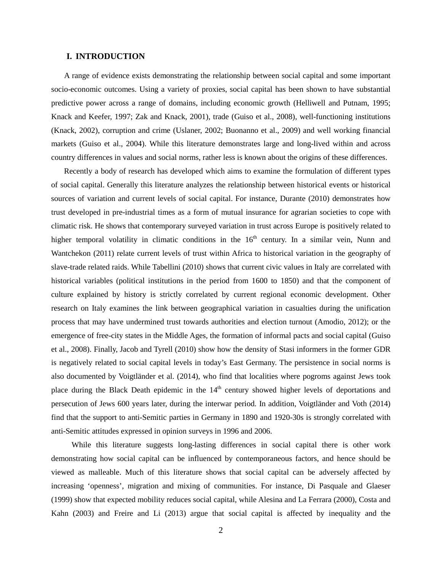#### **I. INTRODUCTION**

A range of evidence exists demonstrating the relationship between social capital and some important socio-economic outcomes. Using a variety of proxies, social capital has been shown to have substantial predictive power across a range of domains, including economic growth (Helliwell and Putnam, 1995; Knack and Keefer, 1997; Zak and Knack, 2001), trade (Guiso et al., 2008), well-functioning institutions (Knack, 2002), corruption and crime (Uslaner, 2002; Buonanno et al., 2009) and well working financial markets (Guiso et al., 2004). While this literature demonstrates large and long-lived within and across country differences in values and social norms, rather less is known about the origins of these differences.

Recently a body of research has developed which aims to examine the formulation of different types of social capital. Generally this literature analyzes the relationship between historical events or historical sources of variation and current levels of social capital. For instance, Durante (2010) demonstrates how trust developed in pre-industrial times as a form of mutual insurance for agrarian societies to cope with climatic risk. He shows that contemporary surveyed variation in trust across Europe is positively related to higher temporal volatility in climatic conditions in the  $16<sup>th</sup>$  century. In a similar vein, Nunn and Wantchekon (2011) relate current levels of trust within Africa to historical variation in the geography of slave-trade related raids. While Tabellini (2010) shows that current civic values in Italy are correlated with historical variables (political institutions in the period from 1600 to 1850) and that the component of culture explained by history is strictly correlated by current regional economic development. Other research on Italy examines the link between geographical variation in casualties during the unification process that may have undermined trust towards authorities and election turnout (Amodio, 2012); or the emergence of free-city states in the Middle Ages, the formation of informal pacts and social capital (Guiso et al., 2008). Finally, Jacob and Tyrell (2010) show how the density of Stasi informers in the former GDR is negatively related to social capital levels in today's East Germany. The persistence in social norms is also documented by Voigtländer et al. (2014), who find that localities where pogroms against Jews took place during the Black Death epidemic in the  $14<sup>th</sup>$  century showed higher levels of deportations and persecution of Jews 600 years later, during the interwar period. In addition, Voigtländer and Voth (2014) find that the support to anti-Semitic parties in Germany in 1890 and 1920-30s is strongly correlated with anti-Semitic attitudes expressed in opinion surveys in 1996 and 2006.

While this literature suggests long-lasting differences in social capital there is other work demonstrating how social capital can be influenced by contemporaneous factors, and hence should be viewed as malleable. Much of this literature shows that social capital can be adversely affected by increasing 'openness', migration and mixing of communities. For instance, Di Pasquale and Glaeser (1999) show that expected mobility reduces social capital, while Alesina and La Ferrara (2000), Costa and Kahn (2003) and Freire and Li (2013) argue that social capital is affected by inequality and the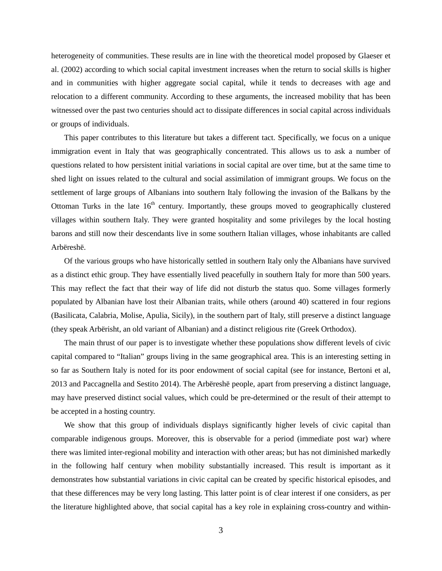heterogeneity of communities. These results are in line with the theoretical model proposed by Glaeser et al. (2002) according to which social capital investment increases when the return to social skills is higher and in communities with higher aggregate social capital, while it tends to decreases with age and relocation to a different community. According to these arguments, the increased mobility that has been witnessed over the past two centuries should act to dissipate differences in social capital across individuals or groups of individuals.

This paper contributes to this literature but takes a different tact. Specifically, we focus on a unique immigration event in Italy that was geographically concentrated. This allows us to ask a number of questions related to how persistent initial variations in social capital are over time, but at the same time to shed light on issues related to the cultural and social assimilation of immigrant groups. We focus on the settlement of large groups of Albanians into southern Italy following the invasion of the Balkans by the Ottoman Turks in the late  $16<sup>th</sup>$  century. Importantly, these groups moved to geographically clustered villages within southern Italy. They were granted hospitality and some privileges by the local hosting barons and still now their descendants live in some southern Italian villages, whose inhabitants are called Arbëreshë.

Of the various groups who have historically settled in southern Italy only the Albanians have survived as a distinct ethic group. They have essentially lived peacefully in southern Italy for more than 500 years. This may reflect the fact that their way of life did not disturb the status quo. Some villages formerly populated by Albanian have lost their Albanian traits, while others (around 40) scattered in four regions (Basilicata, Calabria, Molise, Apulia, Sicily), in the southern part of Italy, still preserve a distinct language (they speak Arbërisht, an old variant of Albanian) and a distinct religious rite (Greek Orthodox).

The main thrust of our paper is to investigate whether these populations show different levels of civic capital compared to "Italian" groups living in the same geographical area. This is an interesting setting in so far as Southern Italy is noted for its poor endowment of social capital (see for instance, Bertoni et al, 2013 and Paccagnella and Sestito 2014). The Arbëreshë people, apart from preserving a distinct language, may have preserved distinct social values, which could be pre-determined or the result of their attempt to be accepted in a hosting country.

We show that this group of individuals displays significantly higher levels of civic capital than comparable indigenous groups. Moreover, this is observable for a period (immediate post war) where there was limited inter-regional mobility and interaction with other areas; but has not diminished markedly in the following half century when mobility substantially increased. This result is important as it demonstrates how substantial variations in civic capital can be created by specific historical episodes, and that these differences may be very long lasting. This latter point is of clear interest if one considers, as per the literature highlighted above, that social capital has a key role in explaining cross-country and within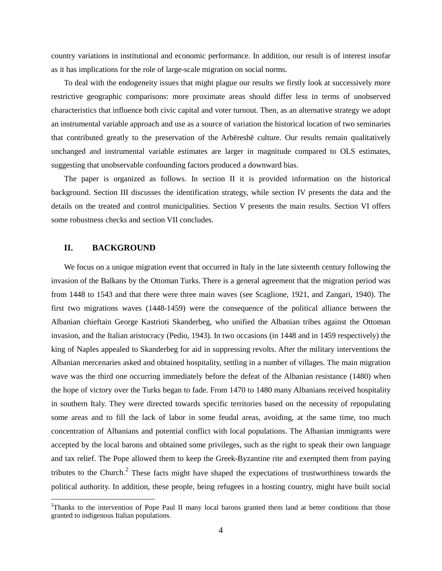country variations in institutional and economic performance. In addition, our result is of interest insofar as it has implications for the role of large-scale migration on social norms.

To deal with the endogeneity issues that might plague our results we firstly look at successively more restrictive geographic comparisons: more proximate areas should differ less in terms of unobserved characteristics that influence both civic capital and voter turnout. Then, as an alternative strategy we adopt an instrumental variable approach and use as a source of variation the historical location of two seminaries that contributed greatly to the preservation of the Arbëreshë culture. Our results remain qualitatively unchanged and instrumental variable estimates are larger in magnitude compared to OLS estimates, suggesting that unobservable confounding factors produced a downward bias.

The paper is organized as follows. In section II it is provided information on the historical background. Section III discusses the identification strategy, while section IV presents the data and the details on the treated and control municipalities. Section V presents the main results. Section VI offers some robustness checks and section VII concludes.

#### **II. BACKGROUND**

We focus on a unique migration event that occurred in Italy in the late sixteenth century following the invasion of the Balkans by the Ottoman Turks. There is a general agreement that the migration period was from 1448 to 1543 and that there were three main waves (see Scaglione, 1921, and Zangari, 1940). The first two migrations waves (1448-1459) were the consequence of the political alliance between the Albanian chieftain George Kastrioti Skanderbeg, who unified the Albanian tribes against the Ottoman invasion, and the Italian aristocracy (Pedio, 1943). In two occasions (in 1448 and in 1459 respectively) the king of Naples appealed to Skanderbeg for aid in suppressing revolts. After the military interventions the Albanian mercenaries asked and obtained hospitality, settling in a number of villages. The main migration wave was the third one occurring immediately before the defeat of the Albanian resistance (1480) when the hope of victory over the Turks began to fade. From 1470 to 1480 many Albanians received hospitality in southern Italy. They were directed towards specific territories based on the necessity of repopulating some areas and to fill the lack of labor in some feudal areas, avoiding, at the same time, too much concentration of Albanians and potential conflict with local populations. The Albanian immigrants were accepted by the local barons and obtained some privileges, such as the right to speak their own language and tax relief. The Pope allowed them to keep the Greek-Byzantine rite and exempted them from paying tributes to the Church. $2$  These facts might have shaped the expectations of trustworthiness towards the political authority. In addition, these people, being refugees in a hosting country, might have built social

<span id="page-5-0"></span> $\frac{1}{2}$ <sup>2</sup>Thanks to the intervention of Pope Paul II many local barons granted them land at better conditions that those granted to indigenous Italian populations.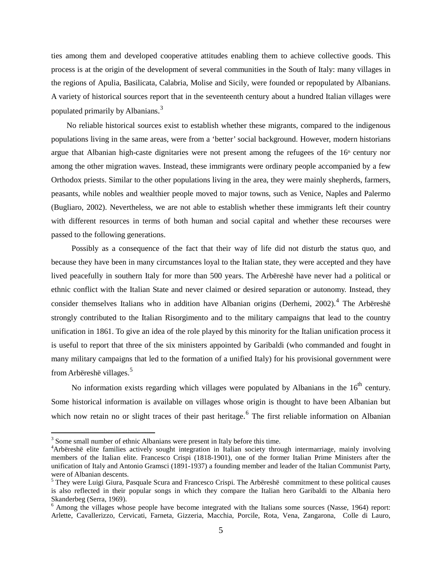ties among them and developed cooperative attitudes enabling them to achieve collective goods. This process is at the origin of the development of several communities in the South of Italy: many villages in the regions of Apulia, Basilicata, Calabria, Molise and Sicily, were founded or repopulated by Albanians. A variety of historical sources report that in the seventeenth century about a hundred Italian villages were populated primarily by Albanians.<sup>[3](#page-5-0)</sup>

No reliable historical sources exist to establish whether these migrants, compared to the indigenous populations living in the same areas, were from a 'better' social background. However, modern historians argue that Albanian high-caste dignitaries were not present among the refugees of the  $16<sup>th</sup>$  century nor among the other migration waves. Instead, these immigrants were ordinary people accompanied by a few Orthodox priests. Similar to the other populations living in the area, they were mainly shepherds, farmers, peasants, while nobles and wealthier people moved to major towns, such as Venice, Naples and Palermo (Bugliaro, 2002). Nevertheless, we are not able to establish whether these immigrants left their country with different resources in terms of both human and social capital and whether these recourses were passed to the following generations.

Possibly as a consequence of the fact that their way of life did not disturb the status quo, and because they have been in many circumstances loyal to the Italian state, they were accepted and they have lived peacefully in southern Italy for more than 500 years. The Arbëreshë have never had a political or ethnic conflict with the Italian State and never claimed or desired separation or autonomy. Instead, they consider themselves Italians who in addition have Albanian origins (Derhemi,  $2002$ ).<sup>[4](#page-6-0)</sup> The Arbëreshë strongly contributed to the Italian Risorgimento and to the military campaigns that lead to the country unification in 1861. To give an idea of the role played by this minority for the Italian unification process it is useful to report that three of the six ministers appointed by Garibaldi (who commanded and fought in many military campaigns that led to the formation of a unified Italy) for his provisional government were from Arbëreshë villages.[5](#page-6-1)

No information exists regarding which villages were populated by Albanians in the  $16^{th}$  century. Some historical information is available on villages whose origin is thought to have been Albanian but which now retain no or slight traces of their past heritage.<sup>[6](#page-6-2)</sup> The first reliable information on Albanian

<span id="page-6-3"></span><sup>&</sup>lt;sup>3</sup> Some small number of ethnic Albanians were present in Italy before this time.

<span id="page-6-0"></span><sup>4</sup> Arbëreshë elite families actively sought integration in Italian society through intermarriage, mainly involving members of the Italian elite. Francesco Crispi (1818-1901), one of the former Italian Prime Ministers after the unification of Italy and Antonio Gramsci (1891-1937) a founding member and leader of the Italian Communist Party, were of Albanian descents.

<span id="page-6-1"></span><sup>&</sup>lt;sup>5</sup> They were Luigi Giura, Pasquale Scura and Francesco Crispi. The Arbëreshë commitment to these political causes is also reflected in their popular songs in which they compare the Italian hero Garibaldi to the Albania hero Skanderbeg (Serra, 1969).<br><sup>6</sup> Among the villages whose people have become integrated with the Italians some sources (Nasse, 1964) report:

<span id="page-6-2"></span>Arlette, Cavallerizzo, Cervicati, Farneta, Gizzeria, Macchia, Porcile, Rota, Vena, Zangarona, Colle di Lauro,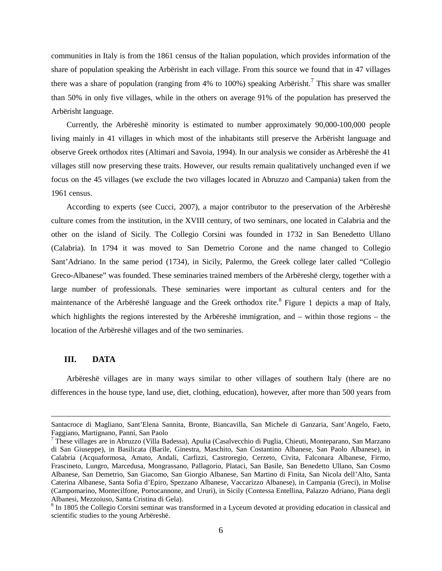communities in Italy is from the 1861 census of the Italian population, which provides information of the share of population speaking the Arbërisht in each village. From this source we found that in 47 villages there was a share of population (ranging from 4% to 100%) speaking Arbërisht.<sup>[7](#page-6-3)</sup> This share was smaller than 50% in only five villages, while in the others on average 91% of the population has preserved the Arbërisht language.

Currently, the Arbëreshë minority is estimated to number approximately 90,000-100,000 people living mainly in 41 villages in which most of the inhabitants still preserve the Arbërisht language and observe Greek orthodox rites (Altimari and Savoia, 1994). In our analysis we consider as Arbëreshë the 41 villages still now preserving these traits. However, our results remain qualitatively unchanged even if we focus on the 45 villages (we exclude the two villages located in Abruzzo and Campania) taken from the 1961 census.

According to experts (see Cucci, 2007), a major contributor to the preservation of the Arbëreshë culture comes from the institution, in the XVIII century, of two seminars, one located in Calabria and the other on the island of Sicily. The Collegio Corsini was founded in 1732 in San Benedetto Ullano (Calabria). In 1794 it was moved to San Demetrio Corone and the name changed to Collegio Sant'Adriano. In the same period (1734), in Sicily, Palermo, the Greek college later called "Collegio Greco-Albanese" was founded. These seminaries trained members of the Arbëreshë clergy, together with a large number of professionals. These seminaries were important as cultural centers and for the maintenance of the Arbëreshë language and the Greek orthodox rite.<sup>[8](#page-7-0)</sup> Figure 1 depicts a map of Italy, which highlights the regions interested by the Arbëreshë immigration, and – within those regions – the location of the Arbëreshë villages and of the two seminaries.

#### **III. DATA**

 $\overline{a}$ 

Arbëreshë villages are in many ways similar to other villages of southern Italy (there are no differences in the house type, land use, diet, clothing, education), however, after more than 500 years from

Santacroce di Magliano, Sant'Elena Sannita, Bronte, Biancavilla, San Michele di Ganzaria, Sant'Angelo, Faeto, Faggiano, Martignano, Panni, San Paolo

<span id="page-7-1"></span><sup>7</sup> These villages are in Abruzzo (Villa Badessa), Apulia (Casalvecchio di Puglia, Chieuti, Monteparano, San Marzano di San Giuseppe), in Basilicata (Barile, Ginestra, Maschito, San Costantino Albanese, San Paolo Albanese), in Calabria (Acquaformosa, Amato, Andali, Carfizzi, Castroregio, Cerzeto, Civita, Falconara Albanese, Firmo, Frascineto, Lungro, Marcedusa, Mongrassano, Pallagorio, Plataci, San Basile, San Benedetto Ullano, San Cosmo Albanese, San Demetrio, San Giacomo, San Giorgio Albanese, San Martino di Finita, San Nicola dell'Alto, Santa Caterina Albanese, Santa Sofia d'Epiro, Spezzano Albanese, Vaccarizzo Albanese), in Campania (Greci), in Molise (Campomarino, Montecilfone, Portocannone, and Ururi), in Sicily (Contessa Entellina, Palazzo Adriano, Piana degli Albanesi, Mezzoiuso, Santa Cristina di Gela).

<span id="page-7-0"></span> $8 \text{ In } 1805$  the Collegio Corsini seminar was transformed in a Lyceum devoted at providing education in classical and scientific studies to the young Arbëreshë.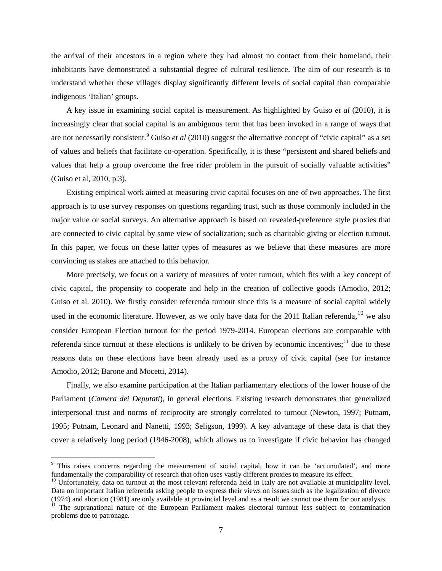the arrival of their ancestors in a region where they had almost no contact from their homeland, their inhabitants have demonstrated a substantial degree of cultural resilience. The aim of our research is to understand whether these villages display significantly different levels of social capital than comparable indigenous 'Italian' groups.

A key issue in examining social capital is measurement. As highlighted by Guiso *et al* (2010), it is increasingly clear that social capital is an ambiguous term that has been invoked in a range of ways that are not necessarily consistent.<sup>[9](#page-7-1)</sup> Guiso *et al* (2010) suggest the alternative concept of "civic capital" as a set of values and beliefs that facilitate co-operation. Specifically, it is these "persistent and shared beliefs and values that help a group overcome the free rider problem in the pursuit of socially valuable activities" (Guiso et al, 2010, p.3).

Existing empirical work aimed at measuring civic capital focuses on one of two approaches. The first approach is to use survey responses on questions regarding trust, such as those commonly included in the major value or social surveys. An alternative approach is based on revealed-preference style proxies that are connected to civic capital by some view of socialization; such as charitable giving or election turnout. In this paper, we focus on these latter types of measures as we believe that these measures are more convincing as stakes are attached to this behavior.

More precisely, we focus on a variety of measures of voter turnout, which fits with a key concept of civic capital, the propensity to cooperate and help in the creation of collective goods (Amodio, 2012; Guiso et al. 2010). We firstly consider referenda turnout since this is a measure of social capital widely used in the economic literature. However, as we only have data for the 2011 Italian referenda,  $^{10}$  $^{10}$  $^{10}$  we also consider European Election turnout for the period 1979-2014. European elections are comparable with referenda since turnout at these elections is unlikely to be driven by economic incentives; $<sup>11</sup>$  $<sup>11</sup>$  $<sup>11</sup>$  due to these</sup> reasons data on these elections have been already used as a proxy of civic capital (see for instance Amodio, 2012; Barone and Mocetti, 2014).

Finally, we also examine participation at the Italian parliamentary elections of the lower house of the Parliament (*Camera dei Deputati*), in general elections. Existing research demonstrates that generalized interpersonal trust and norms of reciprocity are strongly correlated to turnout (Newton, 1997; Putnam, 1995; Putnam, Leonard and Nanetti, 1993; Seligson, 1999). A key advantage of these data is that they cover a relatively long period (1946-2008), which allows us to investigate if civic behavior has changed

<span id="page-8-2"></span><sup>&</sup>lt;sup>9</sup> This raises concerns regarding the measurement of social capital, how it can be 'accumulated', and more fundamentally the comparability of research that often uses vastly different proxies to measure its effect.

<span id="page-8-0"></span> $^{10}$  Unfortunately, data on turnout at the most relevant referenda held in Italy are not available at municipality level. Data on important Italian referenda asking people to express their views on issues such as the legalization of divorce (1974) and abortion (1981) are only available at provincial level and as a result we cannot use them for our analysis.

<span id="page-8-1"></span><sup>&</sup>lt;sup>11</sup> The supranational nature of the European Parliament makes electoral turnout less subject to contamination problems due to patronage.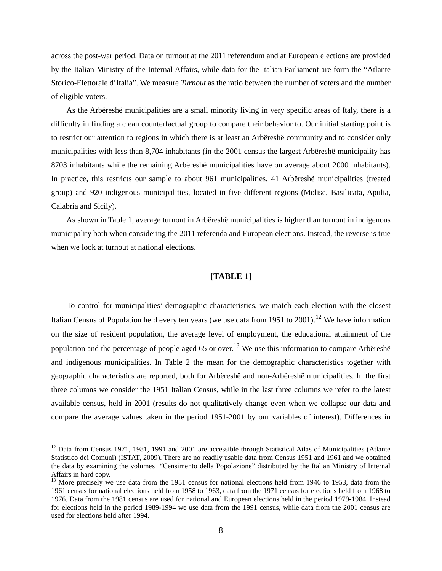across the post-war period. Data on turnout at the 2011 referendum and at European elections are provided by the Italian Ministry of the Internal Affairs, while data for the Italian Parliament are form the "Atlante Storico-Elettorale d'Italia". We measure *Turnout* as the ratio between the number of voters and the number of eligible voters.

As the Arbëreshë municipalities are a small minority living in very specific areas of Italy, there is a difficulty in finding a clean counterfactual group to compare their behavior to. Our initial starting point is to restrict our attention to regions in which there is at least an Arbëreshë community and to consider only municipalities with less than 8,704 inhabitants (in the 2001 census the largest Arbëreshë municipality has 8703 inhabitants while the remaining Arbëreshë municipalities have on average about 2000 inhabitants). In practice, this restricts our sample to about 961 municipalities, 41 Arbëreshë municipalities (treated group) and 920 indigenous municipalities, located in five different regions (Molise, Basilicata, Apulia, Calabria and Sicily).

As shown in Table 1, average turnout in Arbëreshë municipalities is higher than turnout in indigenous municipality both when considering the 2011 referenda and European elections. Instead, the reverse is true when we look at turnout at national elections.

#### **[TABLE 1]**

To control for municipalities' demographic characteristics, we match each election with the closest Italian Census of Population held every ten years (we use data from 1951 to 2001).<sup>[12](#page-8-2)</sup> We have information on the size of resident population, the average level of employment, the educational attainment of the population and the percentage of people aged 65 or over.<sup>[13](#page-9-0)</sup> We use this information to compare Arbëreshë and indigenous municipalities. In Table 2 the mean for the demographic characteristics together with geographic characteristics are reported, both for Arbëreshë and non-Arbëreshë municipalities. In the first three columns we consider the 1951 Italian Census, while in the last three columns we refer to the latest available census, held in 2001 (results do not qualitatively change even when we collapse our data and compare the average values taken in the period 1951-2001 by our variables of interest). Differences in

<sup>&</sup>lt;sup>12</sup> Data from Census 1971, 1981, 1991 and 2001 are accessible through Statistical Atlas of Municipalities (Atlante Statistico dei Comuni) (ISTAT, 2009). There are no readily usable data from Census 1951 and 1961 and we obtained the data by examining the volumes "Censimento della Popolazione" distributed by the Italian Ministry of Internal Affairs in hard copy.

<span id="page-9-1"></span><span id="page-9-0"></span> $^{13}$  More precisely we use data from the 1951 census for national elections held from 1946 to 1953, data from the 1961 census for national elections held from 1958 to 1963, data from the 1971 census for elections held from 1968 to 1976. Data from the 1981 census are used for national and European elections held in the period 1979-1984. Instead for elections held in the period 1989-1994 we use data from the 1991 census, while data from the 2001 census are used for elections held after 1994.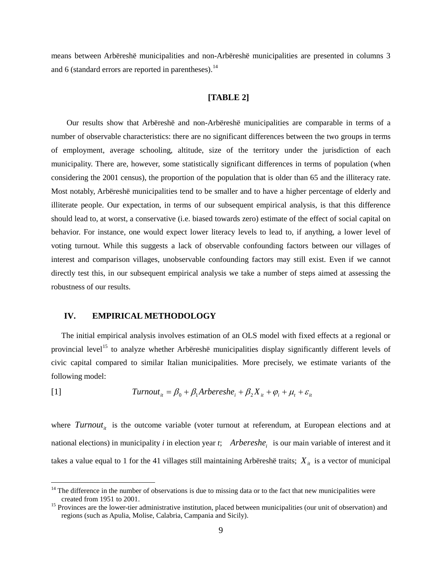means between Arbëreshë municipalities and non-Arbëreshë municipalities are presented in columns 3 and 6 (standard errors are reported in parentheses). $<sup>14</sup>$  $<sup>14</sup>$  $<sup>14</sup>$ </sup>

#### **[TABLE 2]**

Our results show that Arbëreshë and non-Arbëreshë municipalities are comparable in terms of a number of observable characteristics: there are no significant differences between the two groups in terms of employment, average schooling, altitude, size of the territory under the jurisdiction of each municipality. There are, however, some statistically significant differences in terms of population (when considering the 2001 census), the proportion of the population that is older than 65 and the illiteracy rate. Most notably, Arbëreshë municipalities tend to be smaller and to have a higher percentage of elderly and illiterate people. Our expectation, in terms of our subsequent empirical analysis, is that this difference should lead to, at worst, a conservative (i.e. biased towards zero) estimate of the effect of social capital on behavior. For instance, one would expect lower literacy levels to lead to, if anything, a lower level of voting turnout. While this suggests a lack of observable confounding factors between our villages of interest and comparison villages, unobservable confounding factors may still exist. Even if we cannot directly test this, in our subsequent empirical analysis we take a number of steps aimed at assessing the robustness of our results.

#### **IV. EMPIRICAL METHODOLOGY**

The initial empirical analysis involves estimation of an OLS model with fixed effects at a regional or provincial level<sup>[15](#page-10-0)</sup> to analyze whether Arbëreshë municipalities display significantly different levels of civic capital compared to similar Italian municipalities. More precisely, we estimate variants of the following model:

[1] 
$$
Turnout_{it} = \beta_0 + \beta_1 Arbereshe_i + \beta_2 X_{it} + \varphi_i + \mu_t + \varepsilon_{it}
$$

where  $Turnout_{it}$  is the outcome variable (voter turnout at referendum, at European elections and at national elections) in municipality  $i$  in election year  $t$ ; *Arbereshe<sub>i</sub>* is our main variable of interest and it takes a value equal to 1 for the 41 villages still maintaining Arbëreshë traits;  $X_{it}$  is a vector of municipal

<span id="page-10-1"></span><sup>&</sup>lt;sup>14</sup> The difference in the number of observations is due to missing data or to the fact that new municipalities were created from 1951 to 2001.

<span id="page-10-0"></span><sup>&</sup>lt;sup>15</sup> Provinces are the lower-tier administrative institution, placed between municipalities (our unit of observation) and regions (such as Apulia, Molise, Calabria, Campania and Sicily).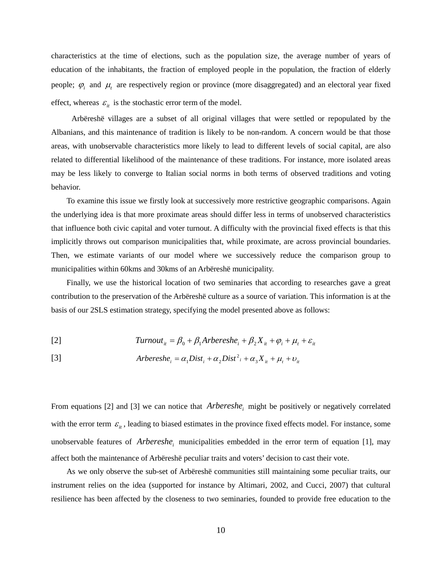characteristics at the time of elections, such as the population size, the average number of years of education of the inhabitants, the fraction of employed people in the population, the fraction of elderly people;  $\varphi_i$  and  $\mu_t$  are respectively region or province (more disaggregated) and an electoral year fixed effect, whereas  $\varepsilon_{it}$  is the stochastic error term of the model.

Arbëreshë villages are a subset of all original villages that were settled or repopulated by the Albanians, and this maintenance of tradition is likely to be non-random. A concern would be that those areas, with unobservable characteristics more likely to lead to different levels of social capital, are also related to differential likelihood of the maintenance of these traditions. For instance, more isolated areas may be less likely to converge to Italian social norms in both terms of observed traditions and voting behavior.

To examine this issue we firstly look at successively more restrictive geographic comparisons. Again the underlying idea is that more proximate areas should differ less in terms of unobserved characteristics that influence both civic capital and voter turnout. A difficulty with the provincial fixed effects is that this implicitly throws out comparison municipalities that, while proximate, are across provincial boundaries. Then, we estimate variants of our model where we successively reduce the comparison group to municipalities within 60kms and 30kms of an Arbëreshë municipality.

Finally, we use the historical location of two seminaries that according to researches gave a great contribution to the preservation of the Arbëreshë culture as a source of variation. This information is at the basis of our 2SLS estimation strategy, specifying the model presented above as follows:

[2] 
$$
Turnout_{it} = \beta_0 + \beta_1 Arbereshe_i + \beta_2 X_{it} + \varphi_i + \mu_t + \varepsilon_{it}
$$

[3] 
$$
Arbereshe_i = \alpha_1 Dist_i + \alpha_2 Dist_i^2 + \alpha_3 X_{it} + \mu_t + \nu_{it}
$$

From equations [2] and [3] we can notice that *Arbereshe<sub>i</sub>* might be positively or negatively correlated with the error term  $\varepsilon_{it}$ , leading to biased estimates in the province fixed effects model. For instance, some unobservable features of *Arbereshe<sub>i</sub>* municipalities embedded in the error term of equation [1], may affect both the maintenance of Arbëreshë peculiar traits and voters' decision to cast their vote.

As we only observe the sub-set of Arbëreshë communities still maintaining some peculiar traits, our instrument relies on the idea (supported for instance by Altimari, 2002, and Cucci, 2007) that cultural resilience has been affected by the closeness to two seminaries, founded to provide free education to the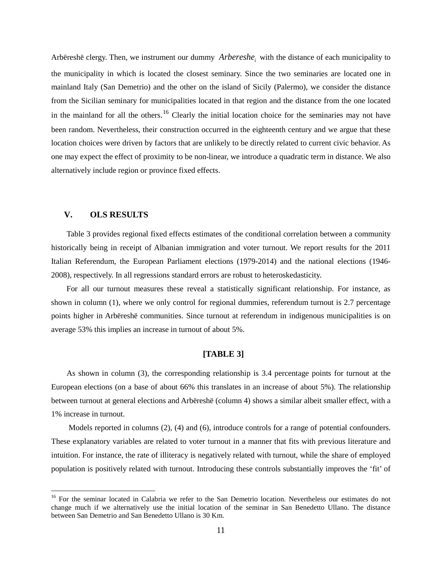Arbëreshë clergy. Then, we instrument our dummy *Arbereshe<sub>i</sub>* with the distance of each municipality to the municipality in which is located the closest seminary. Since the two seminaries are located one in mainland Italy (San Demetrio) and the other on the island of Sicily (Palermo), we consider the distance from the Sicilian seminary for municipalities located in that region and the distance from the one located in the mainland for all the others.<sup>[16](#page-10-1)</sup> Clearly the initial location choice for the seminaries may not have been random. Nevertheless, their construction occurred in the eighteenth century and we argue that these location choices were driven by factors that are unlikely to be directly related to current civic behavior. As one may expect the effect of proximity to be non-linear, we introduce a quadratic term in distance. We also alternatively include region or province fixed effects.

#### **V. OLS RESULTS**

Table 3 provides regional fixed effects estimates of the conditional correlation between a community historically being in receipt of Albanian immigration and voter turnout. We report results for the 2011 Italian Referendum, the European Parliament elections (1979-2014) and the national elections (1946- 2008), respectively. In all regressions standard errors are robust to heteroskedasticity.

For all our turnout measures these reveal a statistically significant relationship. For instance, as shown in column (1), where we only control for regional dummies, referendum turnout is 2.7 percentage points higher in Arbëreshë communities. Since turnout at referendum in indigenous municipalities is on average 53% this implies an increase in turnout of about 5%.

#### **[TABLE 3]**

As shown in column (3), the corresponding relationship is 3.4 percentage points for turnout at the European elections (on a base of about 66% this translates in an increase of about 5%). The relationship between turnout at general elections and Arbëreshë (column 4) shows a similar albeit smaller effect, with a 1% increase in turnout.

Models reported in columns (2), (4) and (6), introduce controls for a range of potential confounders. These explanatory variables are related to voter turnout in a manner that fits with previous literature and intuition. For instance, the rate of illiteracy is negatively related with turnout, while the share of employed population is positively related with turnout. Introducing these controls substantially improves the 'fit' of

<span id="page-12-0"></span><sup>&</sup>lt;sup>16</sup> For the seminar located in Calabria we refer to the San Demetrio location. Nevertheless our estimates do not change much if we alternatively use the initial location of the seminar in San Benedetto Ullano. The distance between San Demetrio and San Benedetto Ullano is 30 Km.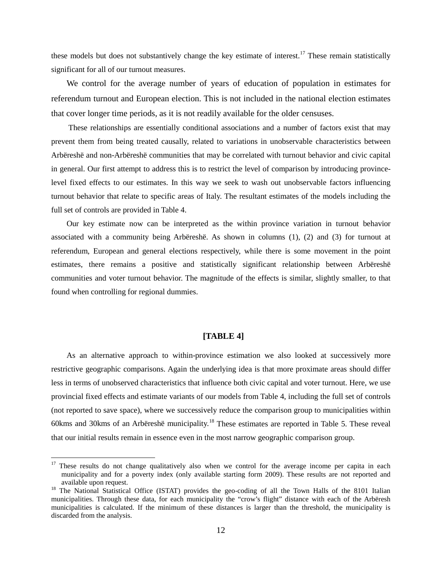these models but does not substantively change the key estimate of interest.<sup>[17](#page-12-0)</sup> These remain statistically significant for all of our turnout measures.

We control for the average number of years of education of population in estimates for referendum turnout and European election. This is not included in the national election estimates that cover longer time periods, as it is not readily available for the older censuses.

These relationships are essentially conditional associations and a number of factors exist that may prevent them from being treated causally, related to variations in unobservable characteristics between Arbëreshë and non-Arbëreshë communities that may be correlated with turnout behavior and civic capital in general. Our first attempt to address this is to restrict the level of comparison by introducing provincelevel fixed effects to our estimates. In this way we seek to wash out unobservable factors influencing turnout behavior that relate to specific areas of Italy. The resultant estimates of the models including the full set of controls are provided in Table 4.

Our key estimate now can be interpreted as the within province variation in turnout behavior associated with a community being Arbëreshë. As shown in columns (1), (2) and (3) for turnout at referendum, European and general elections respectively, while there is some movement in the point estimates, there remains a positive and statistically significant relationship between Arbëreshë communities and voter turnout behavior. The magnitude of the effects is similar, slightly smaller, to that found when controlling for regional dummies.

#### **[TABLE 4]**

As an alternative approach to within-province estimation we also looked at successively more restrictive geographic comparisons. Again the underlying idea is that more proximate areas should differ less in terms of unobserved characteristics that influence both civic capital and voter turnout. Here, we use provincial fixed effects and estimate variants of our models from Table 4, including the full set of controls (not reported to save space), where we successively reduce the comparison group to municipalities within 60kms and 30kms of an Arbëreshë municipality.[18](#page-13-0) These estimates are reported in Table 5. These reveal that our initial results remain in essence even in the most narrow geographic comparison group.

<sup>&</sup>lt;sup>17</sup> These results do not change qualitatively also when we control for the average income per capita in each municipality and for a poverty index (only available starting form 2009). These results are not reported and available upon request.<br><sup>18</sup> The National Statistical Office (ISTAT) provides the geo-coding of all the Town Halls of the 8101 Italian

<span id="page-13-0"></span>municipalities. Through these data, for each municipality the "crow's flight" distance with each of the Arbëresh municipalities is calculated. If the minimum of these distances is larger than the threshold, the municipality is discarded from the analysis.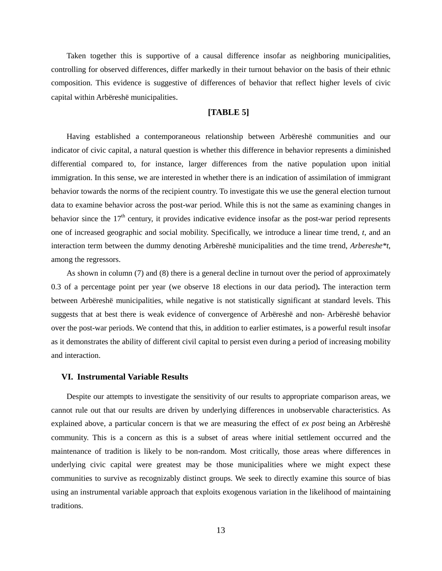Taken together this is supportive of a causal difference insofar as neighboring municipalities, controlling for observed differences, differ markedly in their turnout behavior on the basis of their ethnic composition. This evidence is suggestive of differences of behavior that reflect higher levels of civic capital within Arbëreshë municipalities.

#### **[TABLE 5]**

Having established a contemporaneous relationship between Arbëreshë communities and our indicator of civic capital, a natural question is whether this difference in behavior represents a diminished differential compared to, for instance, larger differences from the native population upon initial immigration. In this sense, we are interested in whether there is an indication of assimilation of immigrant behavior towards the norms of the recipient country. To investigate this we use the general election turnout data to examine behavior across the post-war period. While this is not the same as examining changes in behavior since the  $17<sup>th</sup>$  century, it provides indicative evidence insofar as the post-war period represents one of increased geographic and social mobility. Specifically, we introduce a linear time trend, *t*, and an interaction term between the dummy denoting Arbëreshë municipalities and the time trend, *Arbereshe\*t*, among the regressors.

As shown in column (7) and (8) there is a general decline in turnout over the period of approximately 0.3 of a percentage point per year (we observe 18 elections in our data period)**.** The interaction term between Arbëreshë municipalities, while negative is not statistically significant at standard levels. This suggests that at best there is weak evidence of convergence of Arbëreshë and non- Arbëreshë behavior over the post-war periods. We contend that this, in addition to earlier estimates, is a powerful result insofar as it demonstrates the ability of different civil capital to persist even during a period of increasing mobility and interaction.

#### **VI. Instrumental Variable Results**

Despite our attempts to investigate the sensitivity of our results to appropriate comparison areas, we cannot rule out that our results are driven by underlying differences in unobservable characteristics. As explained above, a particular concern is that we are measuring the effect of *ex post* being an Arbëreshë community. This is a concern as this is a subset of areas where initial settlement occurred and the maintenance of tradition is likely to be non-random. Most critically, those areas where differences in underlying civic capital were greatest may be those municipalities where we might expect these communities to survive as recognizably distinct groups. We seek to directly examine this source of bias using an instrumental variable approach that exploits exogenous variation in the likelihood of maintaining traditions.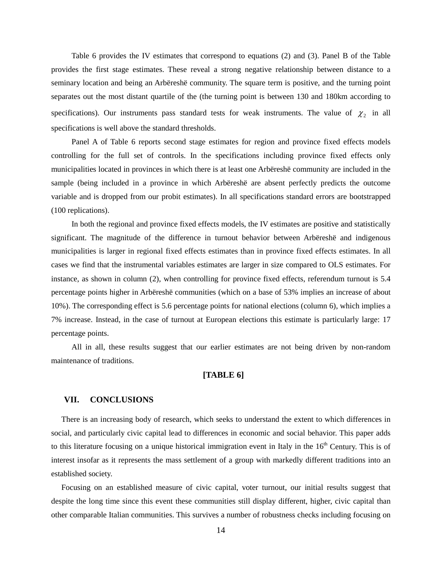Table 6 provides the IV estimates that correspond to equations (2) and (3). Panel B of the Table provides the first stage estimates. These reveal a strong negative relationship between distance to a seminary location and being an Arbëreshë community. The square term is positive, and the turning point separates out the most distant quartile of the (the turning point is between 130 and 180km according to specifications). Our instruments pass standard tests for weak instruments. The value of  $\chi$  in all specifications is well above the standard thresholds.

Panel A of Table 6 reports second stage estimates for region and province fixed effects models controlling for the full set of controls. In the specifications including province fixed effects only municipalities located in provinces in which there is at least one Arbëreshë community are included in the sample (being included in a province in which Arbëreshë are absent perfectly predicts the outcome variable and is dropped from our probit estimates). In all specifications standard errors are bootstrapped (100 replications).

In both the regional and province fixed effects models, the IV estimates are positive and statistically significant. The magnitude of the difference in turnout behavior between Arbëreshë and indigenous municipalities is larger in regional fixed effects estimates than in province fixed effects estimates. In all cases we find that the instrumental variables estimates are larger in size compared to OLS estimates. For instance, as shown in column (2), when controlling for province fixed effects, referendum turnout is 5.4 percentage points higher in Arbëreshë communities (which on a base of 53% implies an increase of about 10%). The corresponding effect is 5.6 percentage points for national elections (column 6), which implies a 7% increase. Instead, in the case of turnout at European elections this estimate is particularly large: 17 percentage points.

All in all, these results suggest that our earlier estimates are not being driven by non-random maintenance of traditions.

#### **[TABLE 6]**

#### **VII. CONCLUSIONS**

There is an increasing body of research, which seeks to understand the extent to which differences in social, and particularly civic capital lead to differences in economic and social behavior. This paper adds to this literature focusing on a unique historical immigration event in Italy in the  $16<sup>th</sup>$  Century. This is of interest insofar as it represents the mass settlement of a group with markedly different traditions into an established society.

Focusing on an established measure of civic capital, voter turnout, our initial results suggest that despite the long time since this event these communities still display different, higher, civic capital than other comparable Italian communities. This survives a number of robustness checks including focusing on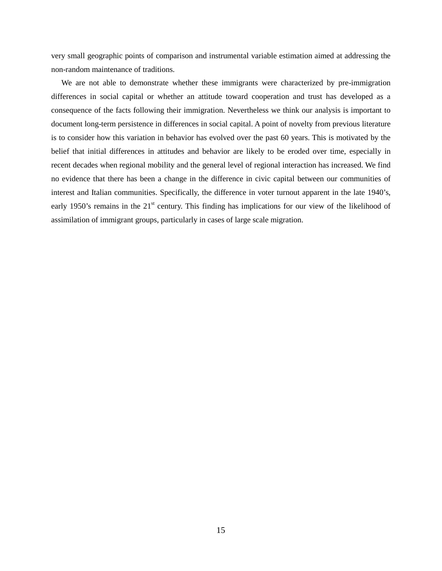very small geographic points of comparison and instrumental variable estimation aimed at addressing the non-random maintenance of traditions.

We are not able to demonstrate whether these immigrants were characterized by pre-immigration differences in social capital or whether an attitude toward cooperation and trust has developed as a consequence of the facts following their immigration. Nevertheless we think our analysis is important to document long-term persistence in differences in social capital. A point of novelty from previous literature is to consider how this variation in behavior has evolved over the past 60 years. This is motivated by the belief that initial differences in attitudes and behavior are likely to be eroded over time, especially in recent decades when regional mobility and the general level of regional interaction has increased. We find no evidence that there has been a change in the difference in civic capital between our communities of interest and Italian communities. Specifically, the difference in voter turnout apparent in the late 1940's, early 1950's remains in the 21<sup>st</sup> century. This finding has implications for our view of the likelihood of assimilation of immigrant groups, particularly in cases of large scale migration.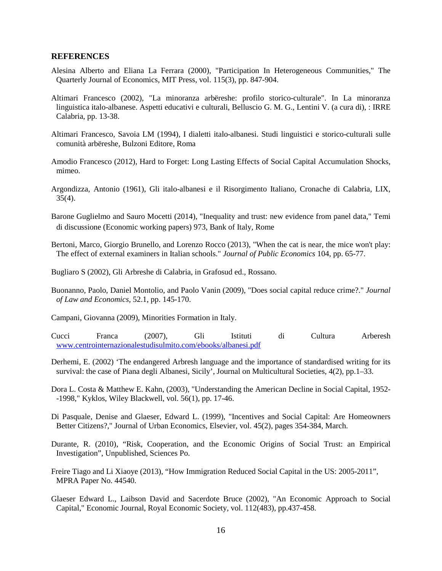#### **REFERENCES**

- Alesina Alberto and Eliana La Ferrara (2000), ["Participation In Heterogeneous Communities,](https://ideas.repec.org/a/tpr/qjecon/v115y2000i3p847-904.html)" [The](https://ideas.repec.org/s/tpr/qjecon.html)  [Quarterly Journal of Economics,](https://ideas.repec.org/s/tpr/qjecon.html) MIT Press, vol. 115(3), pp. 847-904.
- Altimari Francesco (2002), ["La minoranza arbëreshe: profilo storico-culturale"](javascript:visualizzaPubblicazione(1173469915,%200)). In [La minoranza](javascript:visualizzaPubblicazione(1173469915,%200))  linguistica italo-albanese. [Aspetti educativi e culturali,](javascript:visualizzaPubblicazione(1173469915,%200)) [Belluscio G. M. G.,](mailto:giannibelluscio@hotmail.com;gbelluscio@unical.it) Lentini V. (a cura di), : IRRE Calabria, pp. 13-38.
- Altimari Francesco, Savoia LM (1994), I dialetti italo-albanesi. Studi linguistici e storico-culturali sulle comunità arbëreshe, Bulzoni Editore, Roma
- Amodio Francesco (2012), Hard to Forget: Long Lasting Effects of Social Capital Accumulation Shocks, mimeo.
- Argondizza, Antonio (1961), Gli italo-albanesi e il Risorgimento Italiano, Cronache di Calabria, LIX,  $35(4)$ .
- Barone Guglielmo and Sauro Mocetti (2014), ["Inequality and trust: new evidence from panel data,](https://ideas.repec.org/p/bdi/wptemi/td_973_14.html)" [Temi](https://ideas.repec.org/s/bdi/wptemi.html)  [di discussione \(Economic working papers\)](https://ideas.repec.org/s/bdi/wptemi.html) 973, Bank of Italy, Rome
- Bertoni, Marco, Giorgio Brunello, and Lorenzo Rocco (2013), "When the cat is near, the mice won't play: The effect of external examiners in Italian schools." *Journal of Public Economics* 104, pp. 65-77.
- Bugliaro S (2002), Gli Arbreshe di Calabria, in Grafosud ed., Rossano.
- Buonanno, Paolo, Daniel Montolio, and Paolo Vanin (2009), "Does social capital reduce crime?." *Journal of Law and Economics,* 52.1, pp. 145-170.
- Campani, Giovanna (2009), Minorities Formation in Italy.
- Cucci Franca (2007), Gli Istituti di Cultura Arberesh [www.centrointernazionalestudisulmito.com/ebooks/albanesi.pdf](file:///C:\Users\bracco\AppData\Local\Microsoft\Windows\Temporary%20Internet%20Files\AppData\Local\Microsoft\Windows\Temporary%20Internet%20Files\Content.Outlook\AppData\Local\Microsoft\Windows\Temporary%20Internet%20Files\AppData\Roaming\Microsoft\Word\www.centrointernazionalestudisulmito.com\ebooks\albanesi.pdf)
- Derhemi, E. (2002) 'The endangered Arbresh language and the importance of standardised writing for its survival: the case of Piana degli Albanesi, Sicily', Journal on Multicultural Societies, 4(2), pp.1–33.
- Dora L. Costa & Matthew E. Kahn, (2003), ["Understanding the American Decline in Social Capital, 1952-](https://ideas.repec.org/a/bla/kyklos/v56y2003i1p17-46.html) [-1998,](https://ideas.repec.org/a/bla/kyklos/v56y2003i1p17-46.html)" [Kyklos,](https://ideas.repec.org/s/bla/kyklos.html) Wiley Blackwell, vol. 56(1), pp. 17-46.
- Di Pasquale, Denise and Glaeser, Edward L. (1999), "Incentives and Social Capital: Are Homeowners Better Citizens?," Journal of Urban Economics, Elsevier, vol. 45(2), pages 354-384, March.
- Durante, R. (2010), "Risk, Cooperation, and the Economic Origins of Social Trust: an Empirical Investigation", Unpublished, Sciences Po.
- Freire Tiago and Li Xiaoye (2013), "How Immigration Reduced Social Capital in the US: 2005-2011", MPRA Paper No. 44540.
- Glaeser Edward L., Laibson David and Sacerdote Bruce (2002), ["An Economic Approach to Social](https://ideas.repec.org/a/ecj/econjl/v112y2002i483p437-458.html)  [Capital,](https://ideas.repec.org/a/ecj/econjl/v112y2002i483p437-458.html)" [Economic Journal,](https://ideas.repec.org/s/ecj/econjl.html) Royal Economic Society, vol. 112(483), pp.437-458.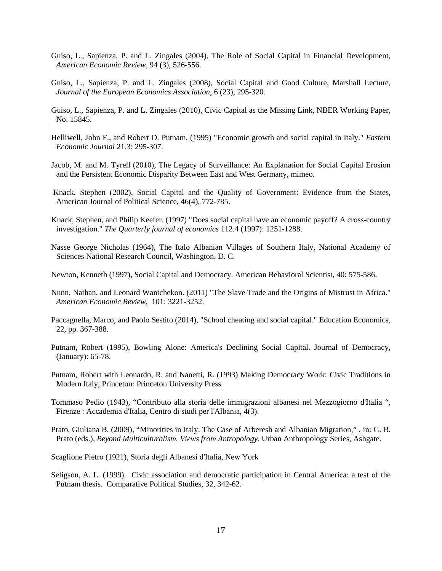- Guiso, L., Sapienza, P. and L. Zingales (2004), The Role of Social Capital in Financial Development, *American Economic Review*, 94 (3), 526-556.
- Guiso, L., Sapienza, P. and L. Zingales (2008), Social Capital and Good Culture, Marshall Lecture, *Journal of the European Economics Association*, 6 (23), 295-320.
- Guiso, L., Sapienza, P. and L. Zingales (2010), Civic Capital as the Missing Link, NBER Working Paper, No. 15845.
- Helliwell, John F., and Robert D. Putnam. (1995) "Economic growth and social capital in Italy." *Eastern Economic Journal* 21.3: 295-307.
- Jacob, M. and M. Tyrell (2010), The Legacy of Surveillance: An Explanation for Social Capital Erosion and the Persistent Economic Disparity Between East and West Germany, mimeo.
- Knack, Stephen (2002), Social Capital and the Quality of Government: Evidence from the States, American Journal of Political Science, 46(4), 772-785.
- Knack, Stephen, and Philip Keefer. (1997) "Does social capital have an economic payoff? A cross-country investigation." *The Quarterly journal of economics* 112.4 (1997): 1251-1288.
- Nasse George Nicholas (1964), The Italo Albanian Villages of Southern Italy, National Academy of Sciences National Research Council, Washington, D. C.
- Newton, Kenneth (1997), Social Capital and Democracy. American Behavioral Scientist, 40: 575-586.
- Nunn, Nathan, and Leonard Wantchekon. (2011) "The Slave Trade and the Origins of Mistrust in Africa." *American Economic Review*, 101: 3221-3252.
- Paccagnella, Marco, and Paolo Sestito (2014), "School cheating and social capital." Education Economics, 22, pp. 367-388.
- Putnam, Robert (1995), Bowling Alone: America's Declining Social Capital. Journal of Democracy, (January): 65-78.
- Putnam, Robert with Leonardo, R. and Nanetti, R. (1993) Making Democracy Work: Civic Traditions in Modern Italy, Princeton: Princeton University Press
- Tommaso Pedio (1943), ["Contributo alla storia delle immigrazioni albanesi nel Mezzogiorno d'Italia ",](http://polosbn.bnnonline.it/SebinaOpac/Opac;jsessionid=B3E1F0304BAA380B5AA44AF8FDB9F9B5?idMAI=B3E1F0304BAA380B5AA44AF8FDB9F9B5&action=documentview&sessID=B3E1F0304BAA380B5AA44AF8FDB9F9B5@770a243&docID=1)  [Firenze : Accademia d'Italia, Centro di studi per l'Albania, 4\(3\).](http://polosbn.bnnonline.it/SebinaOpac/Opac;jsessionid=B3E1F0304BAA380B5AA44AF8FDB9F9B5?idMAI=B3E1F0304BAA380B5AA44AF8FDB9F9B5&action=documentview&sessID=B3E1F0304BAA380B5AA44AF8FDB9F9B5@770a243&docID=1)
- Prato, Giuliana B. (2009), "Minorities in Italy: The Case of Arberesh and Albanian Migration," , in: G. B. Prato (eds.), *Beyond Multiculturalism. Views from Antropology.* Urban Anthropology Series, Ashgate.
- Scaglione Pietro (1921), Storia degli Albanesi d'Italia, New York
- Seligson, A. L. (1999). Civic association and democratic participation in Central America: a test of the Putnam thesis. Comparative Political Studies, 32, 342-62.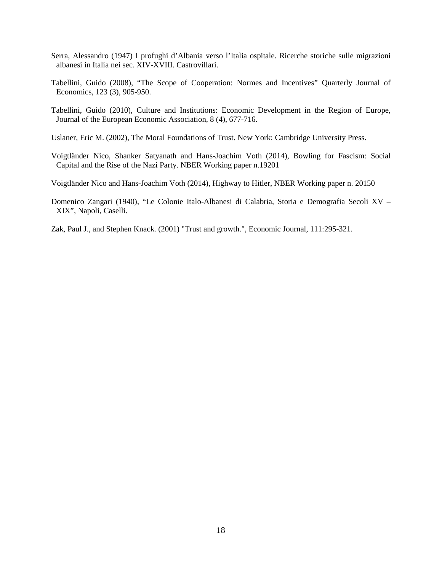- Serra, Alessandro (1947) I profughi d'Albania verso l'Italia ospitale. Ricerche storiche sulle migrazioni albanesi in Italia nei sec. XIV-XVIII. Castrovillari.
- Tabellini, Guido (2008), "The Scope of Cooperation: Normes and Incentives" Quarterly Journal of Economics, 123 (3), 905-950.
- Tabellini, Guido (2010), Culture and Institutions: Economic Development in the Region of Europe, Journal of the European Economic Association, 8 (4), 677-716.
- Uslaner, Eric M. (2002), The Moral Foundations of Trust. New York: Cambridge University Press.
- Voigtländer Nico, [Shanker Satyanath](http://www.nyu.edu/search.directory.html?search=Shanker%20Satyanath) and Hans-Joachim Voth (2014), Bowling for Fascism: Social Capital and the Rise of the Nazi Party. NBER Working paper n.19201
- Voigtländer Nico and Hans-Joachim Voth (2014), Highway to Hitler, NBER Working paper n. [20150](http://www.nber.org/papers/w20150)
- Domenico Zangari (1940), "Le Colonie Italo-Albanesi di Calabria, Storia e Demografia Secoli XV XIX", Napoli, Caselli.
- Zak, Paul J., and Stephen Knack. (2001) "Trust and growth.", Economic Journal, 111:295-321.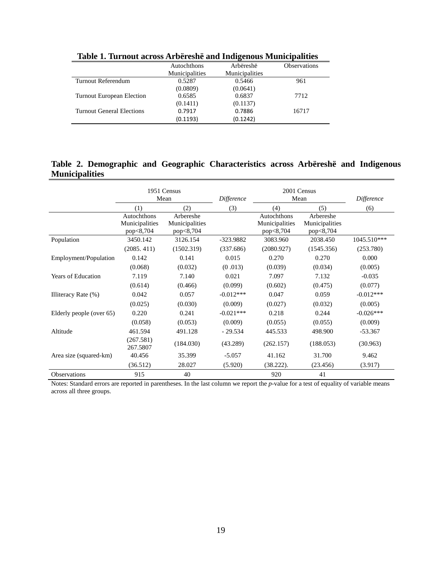| $-$ , and any $-$ , $-$ , $-$ , $-$ , $-$ , $-$ , $-$ , $-$ , $-$ , $-$ , $-$ , $-$<br>$-1$ $-1$ $-1$ $-1$ $-1$ $-1$ |                |                |                     |  |  |  |
|----------------------------------------------------------------------------------------------------------------------|----------------|----------------|---------------------|--|--|--|
|                                                                                                                      | Autochthons    | Arbëreshë      | <b>Observations</b> |  |  |  |
|                                                                                                                      | Municipalities | Municipalities |                     |  |  |  |
| Turnout Referendum                                                                                                   | 0.5287         | 0.5466         | 961                 |  |  |  |
|                                                                                                                      | (0.0809)       | (0.0641)       |                     |  |  |  |
| <b>Turnout European Election</b>                                                                                     | 0.6585         | 0.6837         | 7712                |  |  |  |
|                                                                                                                      | (0.1411)       | (0.1137)       |                     |  |  |  |
| Turnout General Elections                                                                                            | 0.7917         | 0.7886         | 16717               |  |  |  |
|                                                                                                                      | (0.1193)       | (0.1242)       |                     |  |  |  |

**Table 1. Turnout across Arbëreshë and Indigenous Municipalities**

#### **Table 2. Demographic and Geographic Characteristics across Arbëreshë and Indigenous Municipalities**

|                           | 1951 Census<br>Mean                        |                                          | <b>Difference</b> |                                            | 2001 Census<br>Mean                      |             |
|---------------------------|--------------------------------------------|------------------------------------------|-------------------|--------------------------------------------|------------------------------------------|-------------|
|                           | (1)                                        | (2)                                      | (3)               | (4)                                        | (5)                                      | (6)         |
|                           | Autochthons<br>Municipalities<br>pop<8,704 | Arbereshe<br>Municipalities<br>pop<8,704 |                   | Autochthons<br>Municipalities<br>pop<8,704 | Arbereshe<br>Municipalities<br>pop<8,704 |             |
| Population                | 3450.142                                   | 3126.154                                 | -323.9882         | 3083.960                                   | 2038.450                                 | 1045.510*** |
|                           | (2085.411)                                 | (1502.319)                               | (337.686)         | (2080.927)                                 | (1545.356)                               | (253.780)   |
| Employment/Population     | 0.142                                      | 0.141                                    | 0.015             | 0.270                                      | 0.270                                    | 0.000       |
|                           | (0.068)                                    | (0.032)                                  | (0.013)           | (0.039)                                    | (0.034)                                  | (0.005)     |
| <b>Years of Education</b> | 7.119                                      | 7.140                                    | 0.021             | 7.097                                      | 7.132                                    | $-0.035$    |
|                           | (0.614)                                    | (0.466)                                  | (0.099)           | (0.602)                                    | (0.475)                                  | (0.077)     |
| Illiteracy Rate (%)       | 0.042                                      | 0.057                                    | $-0.012***$       | 0.047                                      | 0.059                                    | $-0.012***$ |
|                           | (0.025)                                    | (0.030)                                  | (0.009)           | (0.027)                                    | (0.032)                                  | (0.005)     |
| Elderly people (over 65)  | 0.220                                      | 0.241                                    | $-0.021***$       | 0.218                                      | 0.244                                    | $-0.026***$ |
|                           | (0.058)                                    | (0.053)                                  | (0.009)           | (0.055)                                    | (0.055)                                  | (0.009)     |
| Altitude                  | 461.594                                    | 491.128                                  | $-29.534$         | 445.533                                    | 498.900                                  | $-53.367$   |
|                           | (267.581)<br>267.5807                      | (184.030)                                | (43.289)          | (262.157)                                  | (188.053)                                | (30.963)    |
| Area size (squared-km)    | 40.456                                     | 35.399                                   | $-5.057$          | 41.162                                     | 31.700                                   | 9.462       |
|                           | (36.512)                                   | 28.027                                   | (5.920)           | $(38.222)$ .                               | (23.456)                                 | (3.917)     |
| Observations              | 915                                        | 40                                       |                   | 920                                        | 41                                       |             |

Notes: Standard errors are reported in parentheses. In the last column we report the *p*-value for a test of equality of variable means across all three groups.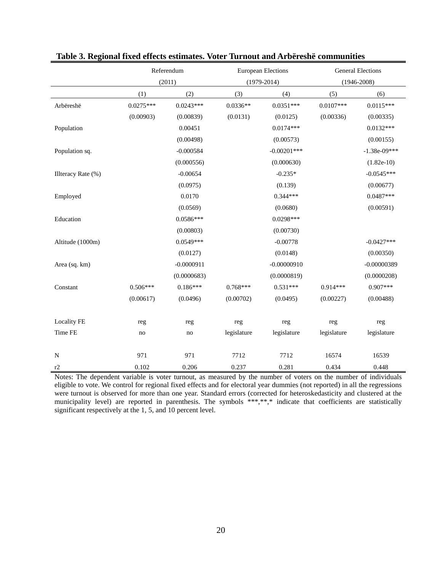|                    | Referendum  |              |             | <b>European Elections</b> | <b>General Elections</b> |                |
|--------------------|-------------|--------------|-------------|---------------------------|--------------------------|----------------|
|                    | (2011)      |              |             | $(1979 - 2014)$           | $(1946 - 2008)$          |                |
|                    | (1)         | (2)          | (3)         | (4)                       | (5)                      | (6)            |
| Arbëreshë          | $0.0275***$ | $0.0243***$  | $0.0336**$  | $0.0351***$               | $0.0107***$              | $0.0115***$    |
|                    | (0.00903)   | (0.00839)    | (0.0131)    | (0.0125)                  | (0.00336)                | (0.00335)      |
| Population         |             | 0.00451      |             | $0.0174***$               |                          | $0.0132***$    |
|                    |             | (0.00498)    |             | (0.00573)                 |                          | (0.00155)      |
| Population sq.     |             | $-0.000584$  |             | $-0.00201$ ***            |                          | $-1.38e-09***$ |
|                    |             | (0.000556)   |             | (0.000630)                |                          | $(1.82e-10)$   |
| Illteracy Rate (%) |             | $-0.00654$   |             | $-0.235*$                 |                          | $-0.0545***$   |
|                    |             | (0.0975)     |             | (0.139)                   |                          | (0.00677)      |
| Employed           |             | 0.0170       |             | $0.344***$                |                          | $0.0487***$    |
|                    |             | (0.0569)     |             | (0.0680)                  |                          | (0.00591)      |
| Education          |             | $0.0586***$  |             | $0.0298***$               |                          |                |
|                    |             | (0.00803)    |             | (0.00730)                 |                          |                |
| Altitude (1000m)   |             | $0.0549***$  |             | $-0.00778$                |                          | $-0.0427***$   |
|                    |             | (0.0127)     |             | (0.0148)                  |                          | (0.00350)      |
| Area (sq. km)      |             | $-0.0000911$ |             | $-0.00000910$             |                          | $-0.00000389$  |
|                    |             | (0.0000683)  |             | (0.0000819)               |                          | (0.0000208)    |
| Constant           | $0.506***$  | $0.186***$   | $0.768***$  | $0.531***$                | $0.914***$               | $0.907***$     |
|                    | (0.00617)   | (0.0496)     | (0.00702)   | (0.0495)                  | (0.00227)                | (0.00488)      |
|                    |             |              |             |                           |                          |                |
| <b>Locality FE</b> | reg         | reg          | reg         | reg                       | reg                      | reg            |
| Time FE            | no          | no           | legislature | legislature               | legislature              | legislature    |
|                    |             |              |             |                           |                          |                |
| $\mathbf N$        | 971         | 971          | 7712        | 7712                      | 16574                    | 16539          |
| r2                 | 0.102       | 0.206        | 0.237       | 0.281                     | 0.434                    | 0.448          |

#### **Table 3. Regional fixed effects estimates. Voter Turnout and Arbëreshë communities**

Notes: The dependent variable is voter turnout, as measured by the number of voters on the number of individuals eligible to vote. We control for regional fixed effects and for electoral year dummies (not reported) in all the regressions were turnout is observed for more than one year. Standard errors (corrected for heteroskedasticity and clustered at the municipality level) are reported in parenthesis. The symbols \*\*\*,\*\*,\* indicate that coefficients are statistically significant respectively at the 1, 5, and 10 percent level.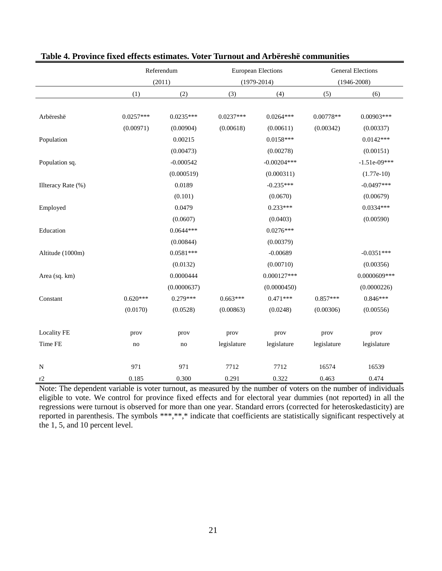|                    | Referendum  |                         | <b>European Elections</b> |               | <b>General Elections</b> |                |
|--------------------|-------------|-------------------------|---------------------------|---------------|--------------------------|----------------|
|                    |             | (2011)<br>$(1979-2014)$ |                           |               | $(1946 - 2008)$          |                |
|                    | (1)         | (2)                     | (3)                       | (4)           | (5)                      | (6)            |
|                    |             |                         |                           |               |                          |                |
| Arbëreshë          | $0.0257***$ | $0.0235***$             | $0.0237***$               | $0.0264***$   | $0.00778**$              | $0.00903***$   |
|                    | (0.00971)   | (0.00904)               | (0.00618)                 | (0.00611)     | (0.00342)                | (0.00337)      |
| Population         |             | 0.00215                 |                           | $0.0158***$   |                          | $0.0142***$    |
|                    |             | (0.00473)               |                           | (0.00278)     |                          | (0.00151)      |
| Population sq.     |             | $-0.000542$             |                           | $-0.00204***$ |                          | $-1.51e-09***$ |
|                    |             | (0.000519)              |                           | (0.000311)    |                          | $(1.77e-10)$   |
| Illteracy Rate (%) |             | 0.0189                  |                           | $-0.235***$   |                          | $-0.0497***$   |
|                    |             | (0.101)                 |                           | (0.0670)      |                          | (0.00679)      |
| Employed           |             | 0.0479                  |                           | $0.233***$    |                          | $0.0334***$    |
|                    |             | (0.0607)                |                           | (0.0403)      |                          | (0.00590)      |
| Education          |             | $0.0644***$             |                           | $0.0276***$   |                          |                |
|                    |             | (0.00844)               |                           | (0.00379)     |                          |                |
| Altitude (1000m)   |             | $0.0581***$             |                           | $-0.00689$    |                          | $-0.0351***$   |
|                    |             | (0.0132)                |                           | (0.00710)     |                          | (0.00356)      |
| Area (sq. km)      |             | 0.0000444               |                           | $0.000127***$ |                          | 0.0000609***   |
|                    |             | (0.0000637)             |                           | (0.0000450)   |                          | (0.0000226)    |
| Constant           | $0.620***$  | $0.279***$              | $0.663***$                | $0.471***$    | $0.857***$               | $0.846***$     |
|                    | (0.0170)    | (0.0528)                | (0.00863)                 | (0.0248)      | (0.00306)                | (0.00556)      |
|                    |             |                         |                           |               |                          |                |
| <b>Locality FE</b> | prov        | prov                    | prov                      | prov          | prov                     | prov           |
| Time FE            | no          | no                      | legislature               | legislature   | legislature              | legislature    |
|                    |             |                         |                           |               |                          |                |
| N                  | 971         | 971                     | 7712                      | 7712          | 16574                    | 16539          |
| r2                 | 0.185       | 0.300                   | 0.291                     | 0.322         | 0.463                    | 0.474          |

#### **Table 4. Province fixed effects estimates. Voter Turnout and Arbëreshë communities**

Note: The dependent variable is voter turnout, as measured by the number of voters on the number of individuals eligible to vote. We control for province fixed effects and for electoral year dummies (not reported) in all the regressions were turnout is observed for more than one year. Standard errors (corrected for heteroskedasticity) are reported in parenthesis. The symbols \*\*\*,\*\*,\* indicate that coefficients are statistically significant respectively at the 1, 5, and 10 percent level.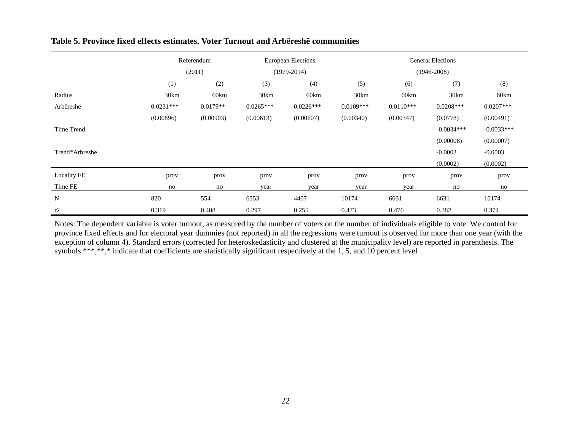|                | Referendum  |            |               | <b>European Elections</b> |                 | <b>General Elections</b> |              |              |  |
|----------------|-------------|------------|---------------|---------------------------|-----------------|--------------------------|--------------|--------------|--|
|                | (2011)      |            | $(1979-2014)$ |                           | $(1946 - 2008)$ |                          |              |              |  |
|                | (1)         | (2)        | (3)           | (4)                       | (5)             | (6)                      | (7)          | (8)          |  |
| Radius         | 30km        | 60km       | 30km          | 60km                      | 30km            | 60km                     | 30km         | 60km         |  |
| Arbëreshë      | $0.0231***$ | $0.0179**$ | $0.0265***$   | $0.0226***$               | $0.0109***$     | $0.0110***$              | $0.0208***$  | $0.0207***$  |  |
|                | (0.00896)   | (0.00903)  | (0.00613)     | (0.00607)                 | (0.00340)       | (0.00347)                | (0.0778)     | (0.00491)    |  |
| Time Trend     |             |            |               |                           |                 |                          | $-0.0034***$ | $-0.0033***$ |  |
|                |             |            |               |                           |                 |                          | (0.00008)    | (0.00007)    |  |
| Trend*Arbreshe |             |            |               |                           |                 |                          | $-0.0003$    | $-0.0003$    |  |
|                |             |            |               |                           |                 |                          | (0.0002)     | (0.0002)     |  |
| Locality FE    | prov        | prov       | prov          | prov                      | prov            | prov                     | prov         | prov         |  |
| Time FE        | no          | no         | year          | year                      | year            | year                     | no           | no           |  |
| N              | 820         | 554        | 6553          | 4407                      | 10174           | 6631                     | 6631         | 10174        |  |
| r2             | 0.319       | 0.408      | 0.297         | 0.255                     | 0.473           | 0.476                    | 0.382        | 0.374        |  |

#### **Table 5. Province fixed effects estimates. Voter Turnout and Arbëreshë communities**

Notes: The dependent variable is voter turnout, as measured by the number of voters on the number of individuals eligible to vote. We control for province fixed effects and for electoral year dummies (not reported) in all the regressions were turnout is observed for more than one year (with the exception of column 4). Standard errors (corrected for heteroskedasticity and clustered at the municipality level) are reported in parenthesis. The symbols \*\*\*,\*\*,\* indicate that coefficients are statistically significant respectively at the 1, 5, and 10 percent level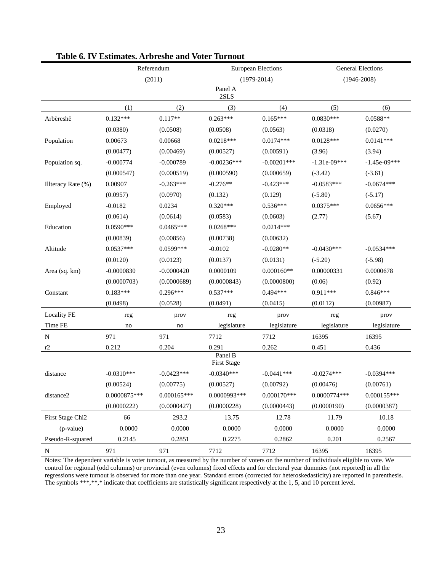|                    | Referendum     |               |                               | <b>European Elections</b> | <b>General Elections</b> |                 |  |  |  |
|--------------------|----------------|---------------|-------------------------------|---------------------------|--------------------------|-----------------|--|--|--|
|                    |                | (2011)        |                               | $(1979-2014)$             |                          | $(1946 - 2008)$ |  |  |  |
| Panel A<br>2SLS    |                |               |                               |                           |                          |                 |  |  |  |
|                    | (1)            | (2)           | (3)                           | (4)                       | (5)                      | (6)             |  |  |  |
| Arbëreshë          | $0.132***$     | $0.117**$     | $0.263***$                    | $0.165***$                | $0.0830***$              | $0.0588**$      |  |  |  |
|                    | (0.0380)       | (0.0508)      | (0.0508)                      | (0.0563)                  | (0.0318)                 | (0.0270)        |  |  |  |
| Population         | 0.00673        | 0.00668       | $0.0218***$                   | $0.0174***$               | $0.0128***$              | $0.0141***$     |  |  |  |
|                    | (0.00477)      | (0.00469)     | (0.00527)                     | (0.00591)                 | (3.96)                   | (3.94)          |  |  |  |
| Population sq.     | $-0.000774$    | $-0.000789$   | $-0.00236***$                 | $-0.00201$ ***            | $-1.31e-09***$           | $-1.45e-09***$  |  |  |  |
|                    | (0.000547)     | (0.000519)    | (0.000590)                    | (0.000659)                | $(-3.42)$                | $(-3.61)$       |  |  |  |
| Illteracy Rate (%) | 0.00907        | $-0.263***$   | $-0.276**$                    | $-0.423***$               | $-0.0583***$             | $-0.0674***$    |  |  |  |
|                    | (0.0957)       | (0.0970)      | (0.132)                       | (0.129)                   | $(-5.80)$                | $(-5.17)$       |  |  |  |
| Employed           | $-0.0182$      | 0.0234        | $0.320***$                    | $0.536***$                | $0.0375***$              | $0.0656***$     |  |  |  |
|                    | (0.0614)       | (0.0614)      | (0.0583)                      | (0.0603)                  | (2.77)                   | (5.67)          |  |  |  |
| Education          | $0.0590***$    | $0.0465***$   | $0.0268***$                   | $0.0214***$               |                          |                 |  |  |  |
|                    | (0.00839)      | (0.00856)     | (0.00738)                     | (0.00632)                 |                          |                 |  |  |  |
| Altitude           | $0.0537***$    | 0.0599***     | $-0.0102$                     | $-0.0280**$               | $-0.0430***$             | $-0.0534***$    |  |  |  |
|                    | (0.0120)       | (0.0123)      | (0.0137)                      | (0.0131)                  | $(-5.20)$                | $(-5.98)$       |  |  |  |
| Area (sq. km)      | $-0.0000830$   | $-0.0000420$  | 0.0000109                     | $0.000160**$              | 0.00000331               | 0.0000678       |  |  |  |
|                    | (0.0000703)    | (0.0000689)   | (0.0000843)                   | (0.0000800)               | (0.06)                   | (0.92)          |  |  |  |
| Constant           | $0.183***$     | $0.296***$    | $0.537***$                    | $0.494***$                | $0.911***$               | $0.846***$      |  |  |  |
|                    | (0.0498)       | (0.0528)      | (0.0491)                      | (0.0415)                  | (0.0112)                 | (0.00987)       |  |  |  |
| Locality FE        | reg            | prov          | reg                           | prov                      | reg                      | prov            |  |  |  |
| Time FE            | no             | no            | legislature                   | legislature               | legislature              | legislature     |  |  |  |
| ${\bf N}$          | 971            | 971           | 7712                          | 7712                      | 16395                    | 16395           |  |  |  |
| r2                 | 0.212          | 0.204         | 0.291                         | 0.262                     | 0.451                    | 0.436           |  |  |  |
|                    |                |               | Panel B<br><b>First Stage</b> |                           |                          |                 |  |  |  |
| distance           | $-0.0310***$   | $-0.0423***$  | $-0.0340***$                  | $-0.0441***$              | $-0.0274***$             | $-0.0394***$    |  |  |  |
|                    | (0.00524)      | (0.00775)     | (0.00527)                     | (0.00792)                 | (0.00476)                | (0.00761)       |  |  |  |
| distance2          | $0.0000875***$ | $0.000165***$ | 0.0000993***                  | $0.000170***$             | 0.0000774***             | $0.000155***$   |  |  |  |
|                    | (0.0000222)    | (0.0000427)   | (0.0000228)                   | (0.0000443)               | (0.0000190)              | (0.0000387)     |  |  |  |
| First Stage Chi2   | 66             | 293.2         | 13.75                         | 12.78                     | 11.79                    | 10.18           |  |  |  |
| (p-value)          | 0.0000         | 0.0000        | 0.0000                        | 0.0000                    | 0.0000                   | 0.0000          |  |  |  |
| Pseudo-R-squared   | 0.2145         | 0.2851        | 0.2275                        | 0.2862                    | 0.201                    | 0.2567          |  |  |  |
| $\mathbf N$        | 971            | 971           | 7712                          | 7712                      | 16395                    | 16395           |  |  |  |

#### **Table 6. IV Estimates. Arbreshe and Voter Turnout**

Notes: The dependent variable is voter turnout, as measured by the number of voters on the number of individuals eligible to vote. We control for regional (odd columns) or provincial (even columns) fixed effects and for electoral year dummies (not reported) in all the regressions were turnout is observed for more than one year. Standard errors (corrected for heteroskedasticity) are reported in parenthesis. The symbols \*\*\*,\*\*,\* indicate that coefficients are statistically significant respectively at the 1, 5, and 10 percent level.